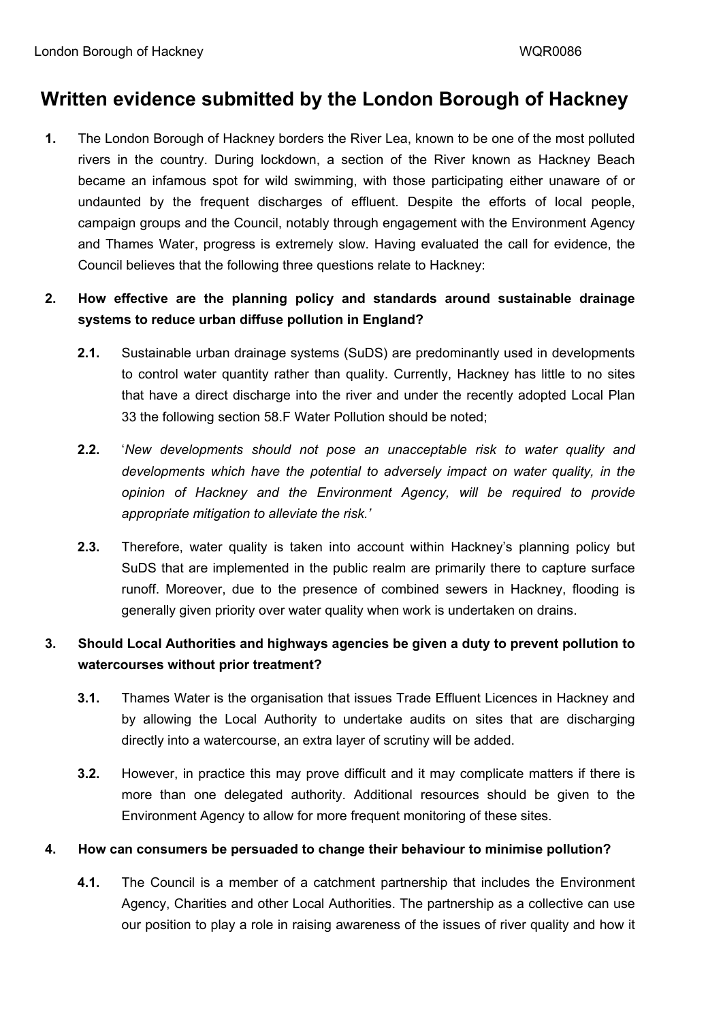## **Written evidence submitted by the London Borough of Hackney**

**1.** The London Borough of Hackney borders the River Lea, known to be one of the most polluted rivers in the country. During lockdown, a section of the River known as Hackney Beach became an infamous spot for wild swimming, with those participating either unaware of or undaunted by the frequent discharges of effluent. Despite the efforts of local people, campaign groups and the Council, notably through engagement with the Environment Agency and Thames Water, progress is extremely slow. Having evaluated the call for evidence, the Council believes that the following three questions relate to Hackney:

## **2. How effective are the planning policy and standards around sustainable drainage systems to reduce urban diffuse pollution in England?**

- **2.1.** Sustainable urban drainage systems (SuDS) are predominantly used in developments to control water quantity rather than quality. Currently, Hackney has little to no sites that have a direct discharge into the river and under the recently adopted Local Plan 33 the following section 58.F Water Pollution should be noted;
- **2.2.** '*New developments should not pose an unacceptable risk to water quality and developments which have the potential to adversely impact on water quality, in the opinion of Hackney and the Environment Agency, will be required to provide appropriate mitigation to alleviate the risk.'*
- **2.3.** Therefore, water quality is taken into account within Hackney's planning policy but SuDS that are implemented in the public realm are primarily there to capture surface runoff. Moreover, due to the presence of combined sewers in Hackney, flooding is generally given priority over water quality when work is undertaken on drains.

## **3. Should Local Authorities and highways agencies be given a duty to prevent pollution to watercourses without prior treatment?**

- **3.1.** Thames Water is the organisation that issues Trade Effluent Licences in Hackney and by allowing the Local Authority to undertake audits on sites that are discharging directly into a watercourse, an extra layer of scrutiny will be added.
- **3.2.** However, in practice this may prove difficult and it may complicate matters if there is more than one delegated authority. Additional resources should be given to the Environment Agency to allow for more frequent monitoring of these sites.

## **4. How can consumers be persuaded to change their behaviour to minimise pollution?**

**4.1.** The Council is a member of a catchment partnership that includes the Environment Agency, Charities and other Local Authorities. The partnership as a collective can use our position to play a role in raising awareness of the issues of river quality and how it